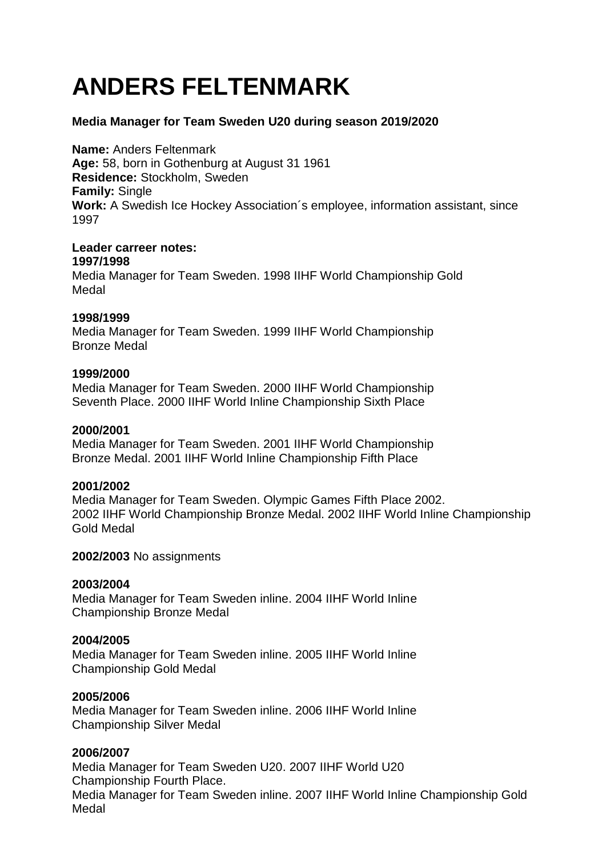# **ANDERS FELTENMARK**

## **Media Manager for Team Sweden U20 during season 2019/2020**

**Name:** Anders Feltenmark **Age:** 58, born in Gothenburg at August 31 1961 **Residence:** Stockholm, Sweden **Family:** Single **Work:** A Swedish Ice Hockey Association´s employee, information assistant, since 1997

## **Leader carreer notes:**

#### **1997/1998**

Media Manager for Team Sweden. 1998 IIHF World Championship Gold Medal

## **1998/1999**

Media Manager for Team Sweden. 1999 IIHF World Championship Bronze Medal

## **1999/2000**

Media Manager for Team Sweden. 2000 IIHF World Championship Seventh Place. 2000 IIHF World Inline Championship Sixth Place

## **2000/2001**

Media Manager for Team Sweden. 2001 IIHF World Championship Bronze Medal. 2001 IIHF World Inline Championship Fifth Place

# **2001/2002**

Media Manager for Team Sweden. Olympic Games Fifth Place 2002. 2002 IIHF World Championship Bronze Medal. 2002 IIHF World Inline Championship Gold Medal

## **2002/2003** No assignments

## **2003/2004**

Media Manager for Team Sweden inline. 2004 IIHF World Inline Championship Bronze Medal

## **2004/2005**

Media Manager for Team Sweden inline. 2005 IIHF World Inline Championship Gold Medal

## **2005/2006**

Media Manager for Team Sweden inline. 2006 IIHF World Inline Championship Silver Medal

# **2006/2007**

Media Manager for Team Sweden U20. 2007 IIHF World U20 Championship Fourth Place. Media Manager for Team Sweden inline. 2007 IIHF World Inline Championship Gold Medal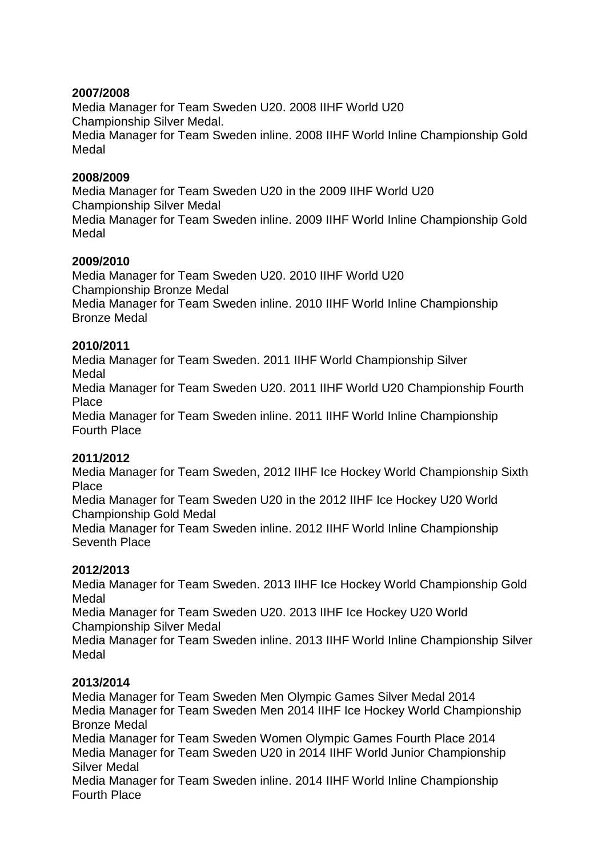# **2007/2008**

Media Manager for Team Sweden U20. 2008 IIHF World U20 Championship Silver Medal. Media Manager for Team Sweden inline. 2008 IIHF World Inline Championship Gold Medal

# **2008/2009**

Media Manager for Team Sweden U20 in the 2009 IIHF World U20 Championship Silver Medal Media Manager for Team Sweden inline. 2009 IIHF World Inline Championship Gold Medal

# **2009/2010**

Media Manager for Team Sweden U20. 2010 IIHF World U20 Championship Bronze Medal Media Manager for Team Sweden inline. 2010 IIHF World Inline Championship Bronze Medal

# **2010/2011**

Media Manager for Team Sweden. 2011 IIHF World Championship Silver Medal

Media Manager for Team Sweden U20. 2011 IIHF World U20 Championship Fourth Place

Media Manager for Team Sweden inline. 2011 IIHF World Inline Championship Fourth Place

# **2011/2012**

Media Manager for Team Sweden, 2012 IIHF Ice Hockey World Championship Sixth **Place** 

Media Manager for Team Sweden U20 in the 2012 IIHF Ice Hockey U20 World Championship Gold Medal

Media Manager for Team Sweden inline. 2012 IIHF World Inline Championship Seventh Place

# **2012/2013**

Media Manager for Team Sweden. 2013 IIHF Ice Hockey World Championship Gold Medal

Media Manager for Team Sweden U20. 2013 IIHF Ice Hockey U20 World Championship Silver Medal

Media Manager for Team Sweden inline. 2013 IIHF World Inline Championship Silver Medal

# **2013/2014**

Media Manager for Team Sweden Men Olympic Games Silver Medal 2014 Media Manager for Team Sweden Men 2014 IIHF Ice Hockey World Championship Bronze Medal

Media Manager for Team Sweden Women Olympic Games Fourth Place 2014 Media Manager for Team Sweden U20 in 2014 IIHF World Junior Championship Silver Medal

Media Manager for Team Sweden inline. 2014 IIHF World Inline Championship Fourth Place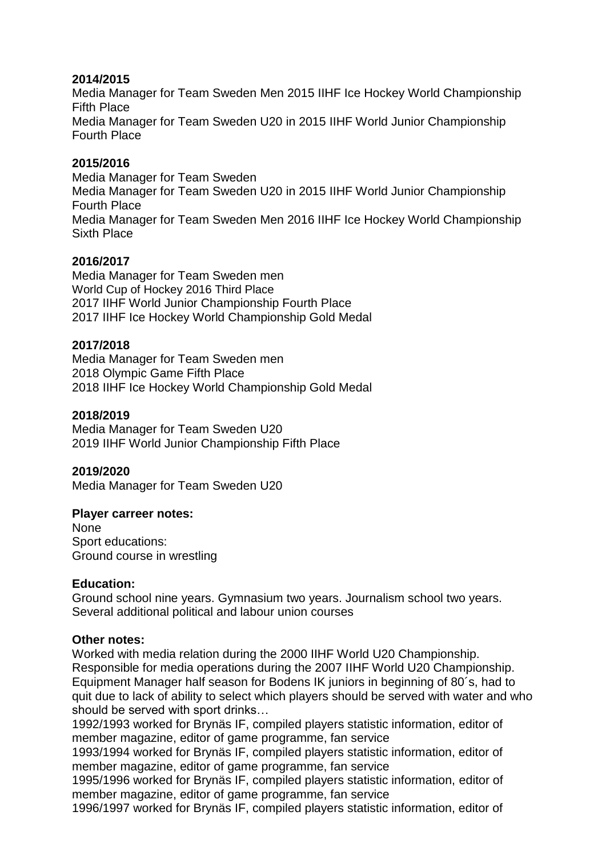## **2014/2015**

Media Manager for Team Sweden Men 2015 IIHF Ice Hockey World Championship Fifth Place

Media Manager for Team Sweden U20 in 2015 IIHF World Junior Championship Fourth Place

## **2015/2016**

Media Manager for Team Sweden Media Manager for Team Sweden U20 in 2015 IIHF World Junior Championship Fourth Place Media Manager for Team Sweden Men 2016 IIHF Ice Hockey World Championship Sixth Place

## **2016/2017**

Media Manager for Team Sweden men World Cup of Hockey 2016 Third Place 2017 IIHF World Junior Championship Fourth Place 2017 IIHF Ice Hockey World Championship Gold Medal

## **2017/2018**

Media Manager for Team Sweden men 2018 Olympic Game Fifth Place 2018 IIHF Ice Hockey World Championship Gold Medal

## **2018/2019**

Media Manager for Team Sweden U20 2019 IIHF World Junior Championship Fifth Place

## **2019/2020**

Media Manager for Team Sweden U20

## **Player carreer notes:**

None Sport educations: Ground course in wrestling

## **Education:**

Ground school nine years. Gymnasium two years. Journalism school two years. Several additional political and labour union courses

## **Other notes:**

Worked with media relation during the 2000 IIHF World U20 Championship. Responsible for media operations during the 2007 IIHF World U20 Championship. Equipment Manager half season for Bodens IK juniors in beginning of 80´s, had to quit due to lack of ability to select which players should be served with water and who should be served with sport drinks…

1992/1993 worked for Brynäs IF, compiled players statistic information, editor of member magazine, editor of game programme, fan service

1993/1994 worked for Brynäs IF, compiled players statistic information, editor of member magazine, editor of game programme, fan service

1995/1996 worked for Brynäs IF, compiled players statistic information, editor of member magazine, editor of game programme, fan service

1996/1997 worked for Brynäs IF, compiled players statistic information, editor of